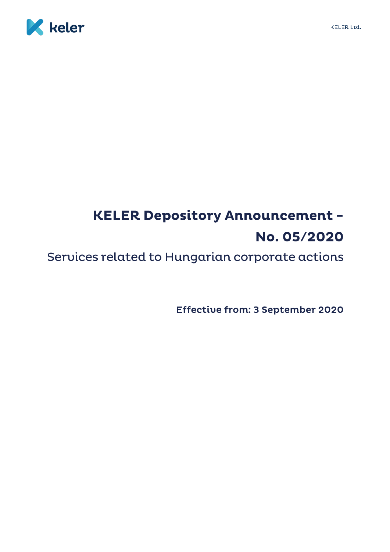



# **KELER Depository Announcement -**No. 05/2020

Services related to Hungarian corporate actions

Effective from: 3 September 2020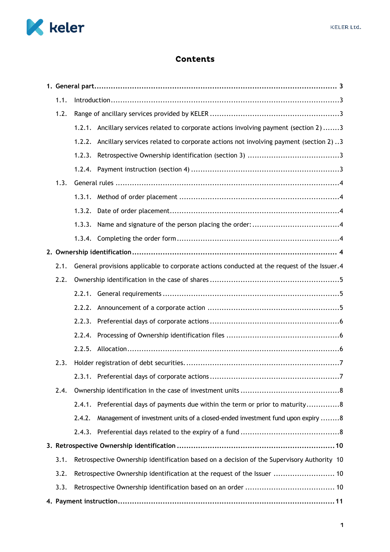

# **Contents**

| 1.1. | $Introduction \dots 3$ |                                                                                             |  |  |
|------|------------------------|---------------------------------------------------------------------------------------------|--|--|
| 1.2. |                        |                                                                                             |  |  |
|      |                        | 1.2.1. Ancillary services related to corporate actions involving payment (section 2)3       |  |  |
|      |                        | 1.2.2. Ancillary services related to corporate actions not involving payment (section 2) 3  |  |  |
|      | 1.2.3.                 |                                                                                             |  |  |
|      |                        |                                                                                             |  |  |
| 1.3. |                        |                                                                                             |  |  |
|      |                        |                                                                                             |  |  |
|      |                        |                                                                                             |  |  |
|      |                        |                                                                                             |  |  |
|      |                        |                                                                                             |  |  |
|      |                        |                                                                                             |  |  |
| 2.1. |                        | General provisions applicable to corporate actions conducted at the request of the Issuer.4 |  |  |
| 2.2. |                        |                                                                                             |  |  |
|      |                        |                                                                                             |  |  |
|      |                        |                                                                                             |  |  |
|      | 2.2.3.                 |                                                                                             |  |  |
|      |                        |                                                                                             |  |  |
|      |                        |                                                                                             |  |  |
| 2.3. |                        |                                                                                             |  |  |
|      |                        |                                                                                             |  |  |
| 2.4. |                        |                                                                                             |  |  |
|      |                        | 2.4.1. Preferential days of payments due within the term or prior to maturity8              |  |  |
|      | 2.4.2.                 | Management of investment units of a closed-ended investment fund upon expiry 8              |  |  |
|      |                        |                                                                                             |  |  |
|      |                        |                                                                                             |  |  |
| 3.1. |                        | Retrospective Ownership identification based on a decision of the Supervisory Authority 10  |  |  |
| 3.2. |                        | Retrospective Ownership identification at the request of the Issuer  10                     |  |  |
| 3.3. |                        |                                                                                             |  |  |
|      |                        |                                                                                             |  |  |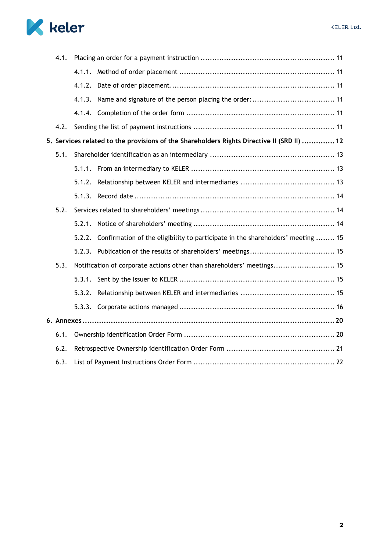

|      | 4.1. |        |                                                                                            |  |  |
|------|------|--------|--------------------------------------------------------------------------------------------|--|--|
|      |      |        |                                                                                            |  |  |
|      |      |        |                                                                                            |  |  |
|      |      |        |                                                                                            |  |  |
|      |      |        |                                                                                            |  |  |
|      | 4.2. |        |                                                                                            |  |  |
|      |      |        | 5. Services related to the provisions of the Shareholders Rights Directive II (SRD II)  12 |  |  |
|      | 5.1. |        |                                                                                            |  |  |
|      |      |        |                                                                                            |  |  |
|      |      | 5.1.2. |                                                                                            |  |  |
|      |      | 5.1.3. |                                                                                            |  |  |
|      | 5.2. |        |                                                                                            |  |  |
|      |      | 5.2.1. |                                                                                            |  |  |
|      |      |        | 5.2.2. Confirmation of the eligibility to participate in the shareholders' meeting  15     |  |  |
|      |      |        |                                                                                            |  |  |
|      | 5.3. |        | Notification of corporate actions other than shareholders' meetings 15                     |  |  |
|      |      | 5.3.1. |                                                                                            |  |  |
|      |      | 5.3.2. |                                                                                            |  |  |
|      |      |        |                                                                                            |  |  |
|      |      |        |                                                                                            |  |  |
|      | 6.1. |        |                                                                                            |  |  |
|      | 6.2. |        |                                                                                            |  |  |
| 6.3. |      |        |                                                                                            |  |  |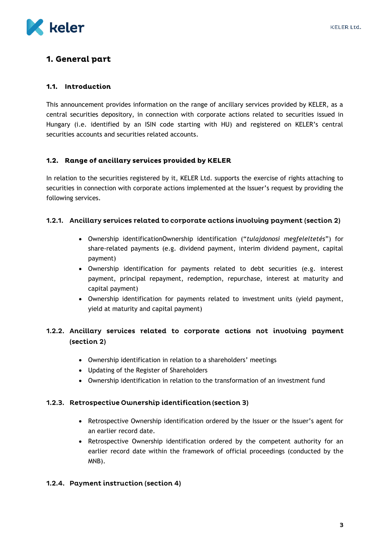

# <span id="page-3-0"></span>1. General part

#### <span id="page-3-1"></span>1.1. Introduction

This announcement provides information on the range of ancillary services provided by KELER, as a central securities depository, in connection with corporate actions related to securities issued in Hungary (i.e. identified by an ISIN code starting with HU) and registered on KELER's central securities accounts and securities related accounts.

# <span id="page-3-2"></span>1.2. Range of ancillary services provided by KELER

In relation to the securities registered by it, KELER Ltd. supports the exercise of rights attaching to securities in connection with corporate actions implemented at the Issuer's request by providing the following services.

#### <span id="page-3-3"></span>1.2.1. Ancillary services related to corporate actions involving payment (section 2)

- Ownership identificationOwnership identification ("*tulajdonosi megfeleltetés*") for share-related payments (e.g. dividend payment, interim dividend payment, capital payment)
- Ownership identification for payments related to debt securities (e.g. interest payment, principal repayment, redemption, repurchase, interest at maturity and capital payment)
- Ownership identification for payments related to investment units (yield payment, yield at maturity and capital payment)

# <span id="page-3-4"></span>1.2.2. Ancillary services related to corporate actions not involving payment (section 2)

- Ownership identification in relation to a shareholders' meetings
- Updating of the Register of Shareholders
- Ownership identification in relation to the transformation of an investment fund

#### <span id="page-3-5"></span>1.2.3. Retrospective Ownership identification (section 3)

- Retrospective Ownership identification ordered by the Issuer or the Issuer's agent for an earlier record date.
- Retrospective Ownership identification ordered by the competent authority for an earlier record date within the framework of official proceedings (conducted by the MNB).

#### <span id="page-3-6"></span>1.2.4. Payment instruction (section 4)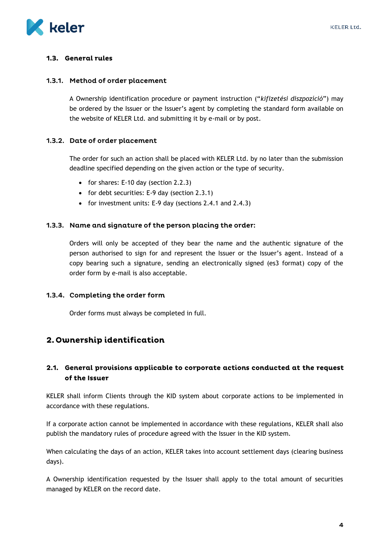

# <span id="page-4-0"></span>1.3. General rules

#### <span id="page-4-1"></span>1.3.1. Method of order placement

A Ownership identification procedure or payment instruction ("*kifizetési diszpozíció*") may be ordered by the Issuer or the Issuer's agent by completing the standard form available on the website of KELER Ltd. and submitting it by e-mail or by post.

# <span id="page-4-2"></span>1.3.2. Date of order placement

The order for such an action shall be placed with KELER Ltd. by no later than the submission deadline specified depending on the given action or the type of security.

- for shares: E-10 day (section  $2.2.3$ )
- for debt securities: E-9 day (section 2.3.1)
- for investment units: E-9 day (sections  $2.4.1$  and  $2.4.3$ )

#### <span id="page-4-3"></span>1.3.3. Name and signature of the person placing the order:

Orders will only be accepted of they bear the name and the authentic signature of the person authorised to sign for and represent the Issuer or the Issuer's agent. Instead of a copy bearing such a signature, sending an electronically signed (es3 format) copy of the order form by e-mail is also acceptable.

#### <span id="page-4-4"></span>1.3.4. Completing the order form

Order forms must always be completed in full.

# <span id="page-4-5"></span>2. Ownership identification

# <span id="page-4-6"></span>2.1. General provisions applicable to corporate actions conducted at the request of the Issuer

KELER shall inform Clients through the KID system about corporate actions to be implemented in accordance with these regulations.

If a corporate action cannot be implemented in accordance with these regulations, KELER shall also publish the mandatory rules of procedure agreed with the Issuer in the KID system.

When calculating the days of an action, KELER takes into account settlement days (clearing business days).

A Ownership identification requested by the Issuer shall apply to the total amount of securities managed by KELER on the record date.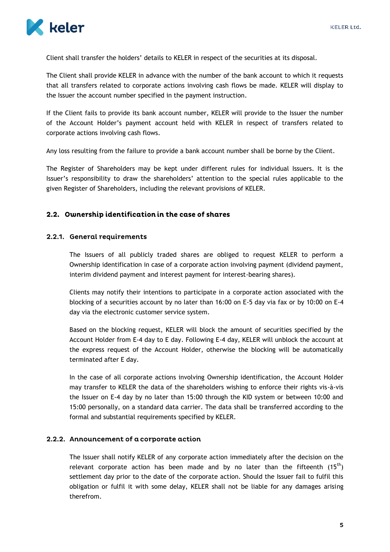

Client shall transfer the holders' details to KELER in respect of the securities at its disposal.

The Client shall provide KELER in advance with the number of the bank account to which it requests that all transfers related to corporate actions involving cash flows be made. KELER will display to the Issuer the account number specified in the payment instruction.

If the Client fails to provide its bank account number, KELER will provide to the Issuer the number of the Account Holder's payment account held with KELER in respect of transfers related to corporate actions involving cash flows.

Any loss resulting from the failure to provide a bank account number shall be borne by the Client.

The Register of Shareholders may be kept under different rules for individual Issuers. It is the Issuer's responsibility to draw the shareholders' attention to the special rules applicable to the given Register of Shareholders, including the relevant provisions of KELER.

#### <span id="page-5-0"></span>2.2. Ownership identification in the case of shares

#### <span id="page-5-1"></span>2.2.1. General requirements

The Issuers of all publicly traded shares are obliged to request KELER to perform a Ownership identification in case of a corporate action involving payment (dividend payment, interim dividend payment and interest payment for interest-bearing shares).

Clients may notify their intentions to participate in a corporate action associated with the blocking of a securities account by no later than 16:00 on E-5 day via fax or by 10:00 on E-4 day via the electronic customer service system.

Based on the blocking request, KELER will block the amount of securities specified by the Account Holder from E-4 day to E day. Following E-4 day, KELER will unblock the account at the express request of the Account Holder, otherwise the blocking will be automatically terminated after E day.

In the case of all corporate actions involving Ownership identification, the Account Holder may transfer to KELER the data of the shareholders wishing to enforce their rights vis-à-vis the Issuer on E-4 day by no later than 15:00 through the KID system or between 10:00 and 15:00 personally, on a standard data carrier. The data shall be transferred according to the formal and substantial requirements specified by KELER.

#### <span id="page-5-2"></span>2.2.2. Announcement of a corporate action

The Issuer shall notify KELER of any corporate action immediately after the decision on the relevant corporate action has been made and by no later than the fifteenth  $(15<sup>th</sup>)$ settlement day prior to the date of the corporate action. Should the Issuer fail to fulfil this obligation or fulfil it with some delay, KELER shall not be liable for any damages arising therefrom.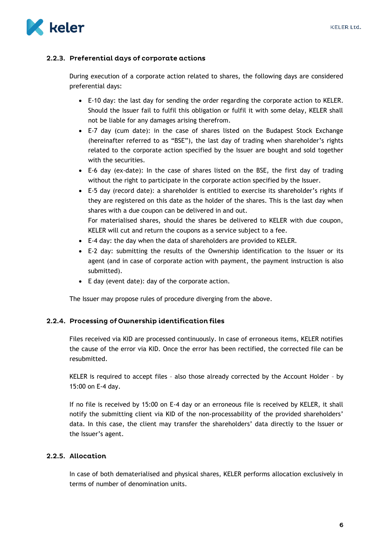

# <span id="page-6-0"></span>2.2.3. Preferential days of corporate actions

During execution of a corporate action related to shares, the following days are considered preferential days:

- E-10 day: the last day for sending the order regarding the corporate action to KELER. Should the Issuer fail to fulfil this obligation or fulfil it with some delay, KELER shall not be liable for any damages arising therefrom.
- E-7 day (cum date): in the case of shares listed on the Budapest Stock Exchange (hereinafter referred to as "BSE"), the last day of trading when shareholder's rights related to the corporate action specified by the Issuer are bought and sold together with the securities.
- E-6 day (ex-date): In the case of shares listed on the BSE, the first day of trading without the right to participate in the corporate action specified by the Issuer.
- E-5 day (record date): a shareholder is entitled to exercise its shareholder's rights if they are registered on this date as the holder of the shares. This is the last day when shares with a due coupon can be delivered in and out. For materialised shares, should the shares be delivered to KELER with due coupon, KELER will cut and return the coupons as a service subject to a fee.
- E-4 day: the day when the data of shareholders are provided to KELER.
- E-2 day: submitting the results of the Ownership identification to the Issuer or its agent (and in case of corporate action with payment, the payment instruction is also submitted).
- E day (event date): day of the corporate action.

The Issuer may propose rules of procedure diverging from the above.

# <span id="page-6-1"></span>2.2.4. Processing of Ownership identification files

Files received via KID are processed continuously. In case of erroneous items, KELER notifies the cause of the error via KID. Once the error has been rectified, the corrected file can be resubmitted.

KELER is required to accept files – also those already corrected by the Account Holder – by 15:00 on E-4 day.

If no file is received by 15:00 on E-4 day or an erroneous file is received by KELER, it shall notify the submitting client via KID of the non-processability of the provided shareholders' data. In this case, the client may transfer the shareholders' data directly to the Issuer or the Issuer's agent.

# <span id="page-6-2"></span>2.2.5. Allocation

In case of both dematerialised and physical shares, KELER performs allocation exclusively in terms of number of denomination units.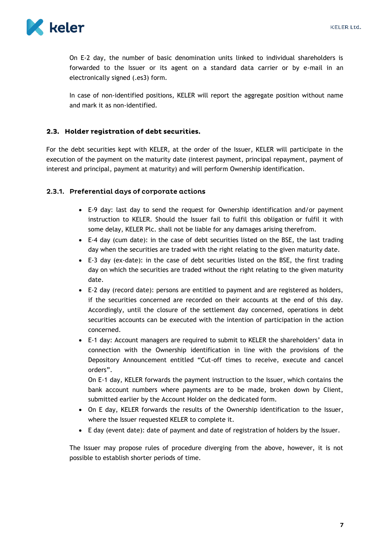

On E-2 day, the number of basic denomination units linked to individual shareholders is forwarded to the Issuer or its agent on a standard data carrier or by e-mail in an electronically signed (.es3) form.

In case of non-identified positions, KELER will report the aggregate position without name and mark it as non-identified.

# <span id="page-7-0"></span>2.3. Holder registration of debt securities.

For the debt securities kept with KELER, at the order of the Issuer, KELER will participate in the execution of the payment on the maturity date (interest payment, principal repayment, payment of interest and principal, payment at maturity) and will perform Ownership identification.

#### <span id="page-7-1"></span>2.3.1. Preferential days of corporate actions

- E-9 day: last day to send the request for Ownership identification and/or payment instruction to KELER. Should the Issuer fail to fulfil this obligation or fulfil it with some delay, KELER Plc. shall not be liable for any damages arising therefrom.
- E-4 day (cum date): in the case of debt securities listed on the BSE, the last trading day when the securities are traded with the right relating to the given maturity date.
- E-3 day (ex-date): in the case of debt securities listed on the BSE, the first trading day on which the securities are traded without the right relating to the given maturity date.
- E-2 day (record date): persons are entitled to payment and are registered as holders, if the securities concerned are recorded on their accounts at the end of this day. Accordingly, until the closure of the settlement day concerned, operations in debt securities accounts can be executed with the intention of participation in the action concerned.
- E-1 day: Account managers are required to submit to KELER the shareholders' data in connection with the Ownership identification in line with the provisions of the Depository Announcement entitled "Cut-off times to receive, execute and cancel orders".

On E-1 day, KELER forwards the payment instruction to the Issuer, which contains the bank account numbers where payments are to be made, broken down by Client, submitted earlier by the Account Holder on the dedicated form.

- On E day, KELER forwards the results of the Ownership identification to the Issuer, where the Issuer requested KELER to complete it.
- E day (event date): date of payment and date of registration of holders by the Issuer.

The Issuer may propose rules of procedure diverging from the above, however, it is not possible to establish shorter periods of time.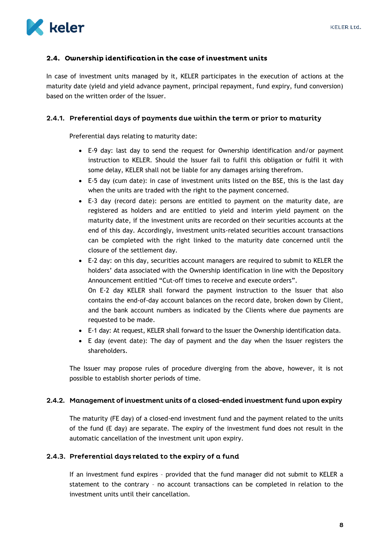

# <span id="page-8-0"></span>2.4. Ownership identification in the case of investment units

In case of investment units managed by it, KELER participates in the execution of actions at the maturity date (yield and yield advance payment, principal repayment, fund expiry, fund conversion) based on the written order of the Issuer.

### <span id="page-8-1"></span>2.4.1. Preferential days of payments due within the term or prior to maturity

Preferential days relating to maturity date:

- E-9 day: last day to send the request for Ownership identification and/or payment instruction to KELER. Should the Issuer fail to fulfil this obligation or fulfil it with some delay, KELER shall not be liable for any damages arising therefrom.
- E-5 day (cum date): in case of investment units listed on the BSE, this is the last day when the units are traded with the right to the payment concerned.
- E-3 day (record date): persons are entitled to payment on the maturity date, are registered as holders and are entitled to yield and interim yield payment on the maturity date, if the investment units are recorded on their securities accounts at the end of this day. Accordingly, investment units-related securities account transactions can be completed with the right linked to the maturity date concerned until the closure of the settlement day.
- E-2 day: on this day, securities account managers are required to submit to KELER the holders' data associated with the Ownership identification in line with the Depository Announcement entitled "Cut-off times to receive and execute orders". On E-2 day KELER shall forward the payment instruction to the Issuer that also contains the end-of-day account balances on the record date, broken down by Client, and the bank account numbers as indicated by the Clients where due payments are requested to be made.
- E-1 day: At request, KELER shall forward to the Issuer the Ownership identification data.
- E day (event date): The day of payment and the day when the Issuer registers the shareholders.

The Issuer may propose rules of procedure diverging from the above, however, it is not possible to establish shorter periods of time.

#### <span id="page-8-2"></span>2.4.2. Management of investment units of a closed-ended investment fund upon expiry

The maturity (FE day) of a closed-end investment fund and the payment related to the units of the fund (E day) are separate. The expiry of the investment fund does not result in the automatic cancellation of the investment unit upon expiry.

# <span id="page-8-3"></span>2.4.3. Preferential days related to the expiry of a fund

If an investment fund expires – provided that the fund manager did not submit to KELER a statement to the contrary – no account transactions can be completed in relation to the investment units until their cancellation.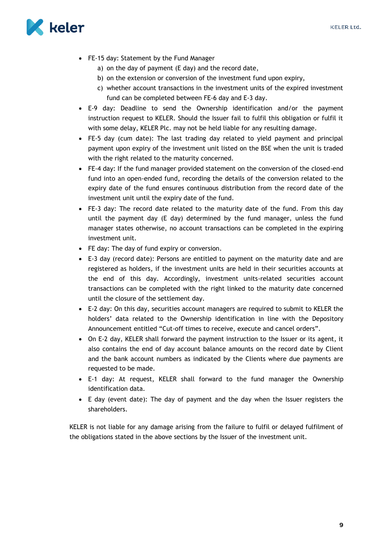

- FE-15 day: Statement by the Fund Manager
	- a) on the day of payment (E day) and the record date,
	- b) on the extension or conversion of the investment fund upon expiry,
	- c) whether account transactions in the investment units of the expired investment fund can be completed between FE-6 day and E-3 day.
- E-9 day: Deadline to send the Ownership identification and/or the payment instruction request to KELER. Should the Issuer fail to fulfil this obligation or fulfil it with some delay, KELER Plc. may not be held liable for any resulting damage.
- FE-5 day (cum date): The last trading day related to yield payment and principal payment upon expiry of the investment unit listed on the BSE when the unit is traded with the right related to the maturity concerned.
- FE-4 day: If the fund manager provided statement on the conversion of the closed-end fund into an open-ended fund, recording the details of the conversion related to the expiry date of the fund ensures continuous distribution from the record date of the investment unit until the expiry date of the fund.
- FE-3 day: The record date related to the maturity date of the fund. From this day until the payment day (E day) determined by the fund manager, unless the fund manager states otherwise, no account transactions can be completed in the expiring investment unit.
- FE day: The day of fund expiry or conversion.
- E-3 day (record date): Persons are entitled to payment on the maturity date and are registered as holders, if the investment units are held in their securities accounts at the end of this day. Accordingly, investment units-related securities account transactions can be completed with the right linked to the maturity date concerned until the closure of the settlement day.
- E-2 day: On this day, securities account managers are required to submit to KELER the holders' data related to the Ownership identification in line with the Depository Announcement entitled "Cut-off times to receive, execute and cancel orders".
- On E-2 day, KELER shall forward the payment instruction to the Issuer or its agent, it also contains the end of day account balance amounts on the record date by Client and the bank account numbers as indicated by the Clients where due payments are requested to be made.
- E-1 day: At request, KELER shall forward to the fund manager the Ownership identification data.
- E day (event date): The day of payment and the day when the Issuer registers the shareholders.

KELER is not liable for any damage arising from the failure to fulfil or delayed fulfilment of the obligations stated in the above sections by the Issuer of the investment unit.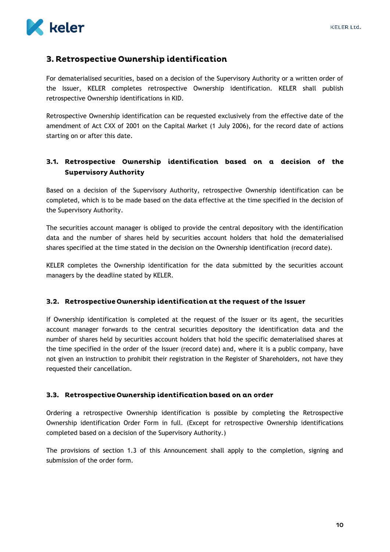

# <span id="page-10-0"></span>3. Retrospective Ownership identification

For dematerialised securities, based on a decision of the Supervisory Authority or a written order of the Issuer, KELER completes retrospective Ownership identification. KELER shall publish retrospective Ownership identifications in KID.

Retrospective Ownership identification can be requested exclusively from the effective date of the amendment of Act CXX of 2001 on the Capital Market (1 July 2006), for the record date of actions starting on or after this date.

# <span id="page-10-1"></span>3.1. Retrospective Ownership identification based on a decision of the **Supervisory Authority**

Based on a decision of the Supervisory Authority, retrospective Ownership identification can be completed, which is to be made based on the data effective at the time specified in the decision of the Supervisory Authority.

The securities account manager is obliged to provide the central depository with the identification data and the number of shares held by securities account holders that hold the dematerialised shares specified at the time stated in the decision on the Ownership identification (record date).

KELER completes the Ownership identification for the data submitted by the securities account managers by the deadline stated by KELER.

# <span id="page-10-2"></span>3.2. Retrospective Ownership identification at the request of the Issuer

If Ownership identification is completed at the request of the Issuer or its agent, the securities account manager forwards to the central securities depository the identification data and the number of shares held by securities account holders that hold the specific dematerialised shares at the time specified in the order of the Issuer (record date) and, where it is a public company, have not given an instruction to prohibit their registration in the Register of Shareholders, not have they requested their cancellation.

# <span id="page-10-3"></span>3.3. Retrospective Ownership identification based on an order

Ordering a retrospective Ownership identification is possible by completing the Retrospective Ownership identification Order Form in full. (Except for retrospective Ownership identifications completed based on a decision of the Supervisory Authority.)

The provisions of section 1.3 of this Announcement shall apply to the completion, signing and submission of the order form.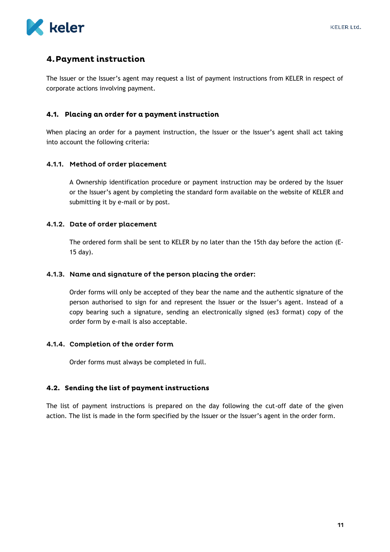

# <span id="page-11-0"></span>4. Payment instruction

The Issuer or the Issuer's agent may request a list of payment instructions from KELER in respect of corporate actions involving payment.

# <span id="page-11-1"></span>4.1. Placing an order for a payment instruction

When placing an order for a payment instruction, the Issuer or the Issuer's agent shall act taking into account the following criteria:

#### <span id="page-11-2"></span>4.1.1. Method of order placement

A Ownership identification procedure or payment instruction may be ordered by the Issuer or the Issuer's agent by completing the standard form available on the website of KELER and submitting it by e-mail or by post.

#### <span id="page-11-3"></span>4.1.2. Date of order placement

The ordered form shall be sent to KELER by no later than the 15th day before the action (E-15 day).

#### <span id="page-11-4"></span>4.1.3. Name and signature of the person placing the order:

Order forms will only be accepted of they bear the name and the authentic signature of the person authorised to sign for and represent the Issuer or the Issuer's agent. Instead of a copy bearing such a signature, sending an electronically signed (es3 format) copy of the order form by e-mail is also acceptable.

#### <span id="page-11-5"></span>4.1.4. Completion of the order form

Order forms must always be completed in full.

# <span id="page-11-6"></span>4.2. Sending the list of payment instructions

The list of payment instructions is prepared on the day following the cut-off date of the given action. The list is made in the form specified by the Issuer or the Issuer's agent in the order form.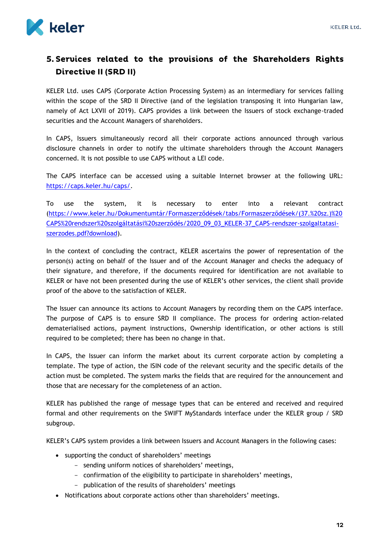

# <span id="page-12-0"></span>5. Services related to the provisions of the Shareholders Rights Directive II (SRD II)

KELER Ltd. uses CAPS (Corporate Action Processing System) as an intermediary for services falling within the scope of the SRD II Directive (and of the legislation transposing it into Hungarian law, namely of Act LXVII of 2019). CAPS provides a link between the Issuers of stock exchange-traded securities and the Account Managers of shareholders.

In CAPS, Issuers simultaneously record all their corporate actions announced through various disclosure channels in order to notify the ultimate shareholders through the Account Managers concerned. It is not possible to use CAPS without a LEI code.

The CAPS interface can be accessed using a suitable Internet browser at the following URL: [https://caps.keler.hu/caps/.](https://caps.keler.hu/caps/)

To use the system, it is necessary to enter into a relevant contract ([https://www.keler.hu/Dokumentumtár/Formaszerződések/tabs/Formaszerződések/\(37.%20sz.\)%20](https://www.keler.hu/Dokumentumtár/Formaszerződések/tabs/Formaszerződések/(37.%20sz.)%20CAPS%20rendszer%20szolgáltatási%20szerződés/2020_09_03_KELER-37_CAPS-rendszer-szolgaltatasi-szerzodes.pdf?download) [CAPS%20rendszer%20szolgáltatási%20szerződés/2020\\_09\\_03\\_KELER](https://www.keler.hu/Dokumentumtár/Formaszerződések/tabs/Formaszerződések/(37.%20sz.)%20CAPS%20rendszer%20szolgáltatási%20szerződés/2020_09_03_KELER-37_CAPS-rendszer-szolgaltatasi-szerzodes.pdf?download)-37\_CAPS-rendszer-szolgaltatasi[szerzodes.pdf?download\)](https://www.keler.hu/Dokumentumtár/Formaszerződések/tabs/Formaszerződések/(37.%20sz.)%20CAPS%20rendszer%20szolgáltatási%20szerződés/2020_09_03_KELER-37_CAPS-rendszer-szolgaltatasi-szerzodes.pdf?download).

In the context of concluding the contract, KELER ascertains the power of representation of the person(s) acting on behalf of the Issuer and of the Account Manager and checks the adequacy of their signature, and therefore, if the documents required for identification are not available to KELER or have not been presented during the use of KELER's other services, the client shall provide proof of the above to the satisfaction of KELER.

The Issuer can announce its actions to Account Managers by recording them on the CAPS interface. The purpose of CAPS is to ensure SRD II compliance. The process for ordering action-related dematerialised actions, payment instructions, Ownership identification, or other actions is still required to be completed; there has been no change in that.

In CAPS, the Issuer can inform the market about its current corporate action by completing a template. The type of action, the ISIN code of the relevant security and the specific details of the action must be completed. The system marks the fields that are required for the announcement and those that are necessary for the completeness of an action.

KELER has published the range of message types that can be entered and received and required formal and other requirements on the SWIFT MyStandards interface under the KELER group / SRD subgroup.

KELER's CAPS system provides a link between Issuers and Account Managers in the following cases:

- supporting the conduct of shareholders' meetings
	- sending uniform notices of shareholders' meetings,
	- confirmation of the eligibility to participate in shareholders' meetings,
	- publication of the results of shareholders' meetings
- Notifications about corporate actions other than shareholders' meetings.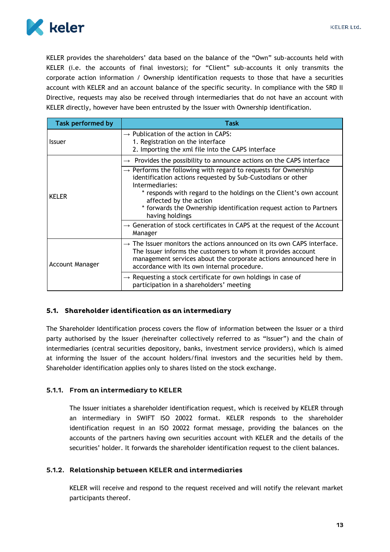

KELER provides the shareholders' data based on the balance of the "Own" sub-accounts held with KELER (i.e. the accounts of final investors); for "Client" sub-accounts it only transmits the corporate action information / Ownership identification requests to those that have a securities account with KELER and an account balance of the specific security. In compliance with the SRD II Directive, requests may also be received through intermediaries that do not have an account with KELER directly, however have been entrusted by the Issuer with Ownership identification.

| <b>Task performed by</b> | Task                                                                                                                                                                                                                                                                                                                                                  |
|--------------------------|-------------------------------------------------------------------------------------------------------------------------------------------------------------------------------------------------------------------------------------------------------------------------------------------------------------------------------------------------------|
| <b>Issuer</b>            | $\rightarrow$ Publication of the action in CAPS:<br>1. Registration on the interface<br>2. Importing the xml file into the CAPS interface                                                                                                                                                                                                             |
|                          | $\rightarrow$ Provides the possibility to announce actions on the CAPS interface                                                                                                                                                                                                                                                                      |
| <b>KELER</b>             | $\rightarrow$ Performs the following with regard to requests for Ownership<br>identification actions requested by Sub-Custodians or other<br>Intermediaries:<br>* responds with regard to the holdings on the Client's own account<br>affected by the action<br>* forwards the Ownership identification request action to Partners<br>having holdings |
|                          | $\rightarrow$ Generation of stock certificates in CAPS at the request of the Account<br>Manager                                                                                                                                                                                                                                                       |
| <b>Account Manager</b>   | $\rightarrow$ The Issuer monitors the actions announced on its own CAPS interface.<br>The Issuer informs the customers to whom it provides account<br>management services about the corporate actions announced here in<br>accordance with its own internal procedure.                                                                                |
|                          | $\rightarrow$ Requesting a stock certificate for own holdings in case of<br>participation in a shareholders' meeting                                                                                                                                                                                                                                  |

# <span id="page-13-0"></span>5.1. Shareholder identification as an intermediary

The Shareholder Identification process covers the flow of information between the Issuer or a third party authorised by the Issuer (hereinafter collectively referred to as "Issuer") and the chain of intermediaries (central securities depository, banks, investment service providers), which is aimed at informing the Issuer of the account holders/final investors and the securities held by them. Shareholder identification applies only to shares listed on the stock exchange.

# <span id="page-13-1"></span>5.1.1. From an intermediary to KELER

The Issuer initiates a shareholder identification request, which is received by KELER through an intermediary in SWIFT ISO 20022 format. KELER responds to the shareholder identification request in an ISO 20022 format message, providing the balances on the accounts of the partners having own securities account with KELER and the details of the securities' holder. It forwards the shareholder identification request to the client balances.

# <span id="page-13-2"></span>5.1.2. Relationship between KELER and intermediaries

KELER will receive and respond to the request received and will notify the relevant market participants thereof.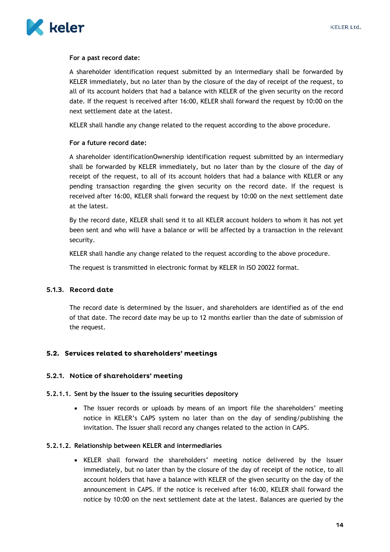

#### **For a past record date:**

A shareholder identification request submitted by an intermediary shall be forwarded by KELER immediately, but no later than by the closure of the day of receipt of the request, to all of its account holders that had a balance with KELER of the given security on the record date. If the request is received after 16:00, KELER shall forward the request by 10:00 on the next settlement date at the latest.

KELER shall handle any change related to the request according to the above procedure.

#### **For a future record date:**

A shareholder identificationOwnership identification request submitted by an intermediary shall be forwarded by KELER immediately, but no later than by the closure of the day of receipt of the request, to all of its account holders that had a balance with KELER or any pending transaction regarding the given security on the record date. If the request is received after 16:00, KELER shall forward the request by 10:00 on the next settlement date at the latest.

By the record date, KELER shall send it to all KELER account holders to whom it has not yet been sent and who will have a balance or will be affected by a transaction in the relevant security.

KELER shall handle any change related to the request according to the above procedure.

The request is transmitted in electronic format by KELER in ISO 20022 format.

# <span id="page-14-0"></span>5.1.3. Record date

The record date is determined by the Issuer, and shareholders are identified as of the end of that date. The record date may be up to 12 months earlier than the date of submission of the request.

# <span id="page-14-1"></span>5.2. Services related to shareholders' meetings

# <span id="page-14-2"></span>5.2.1. Notice of shareholders' meeting

#### **5.2.1.1. Sent by the Issuer to the issuing securities depository**

 The Issuer records or uploads by means of an import file the shareholders' meeting notice in KELER's CAPS system no later than on the day of sending/publishing the invitation. The Issuer shall record any changes related to the action in CAPS.

#### **5.2.1.2. Relationship between KELER and intermediaries**

• KELER shall forward the shareholders' meeting notice delivered by the Issuer immediately, but no later than by the closure of the day of receipt of the notice, to all account holders that have a balance with KELER of the given security on the day of the announcement in CAPS. If the notice is received after 16:00, KELER shall forward the notice by 10:00 on the next settlement date at the latest. Balances are queried by the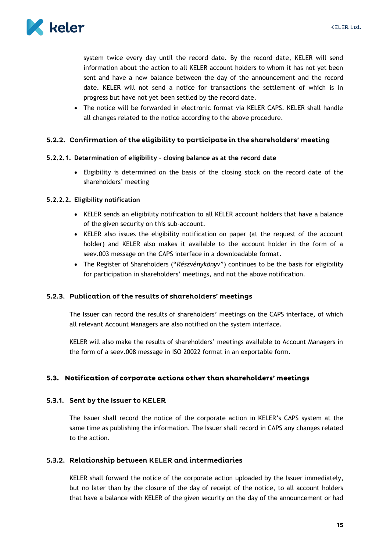

system twice every day until the record date. By the record date, KELER will send information about the action to all KELER account holders to whom it has not yet been sent and have a new balance between the day of the announcement and the record date. KELER will not send a notice for transactions the settlement of which is in progress but have not yet been settled by the record date.

• The notice will be forwarded in electronic format via KELER CAPS. KELER shall handle all changes related to the notice according to the above procedure.

#### <span id="page-15-0"></span>5.2.2. Confirmation of the eligibility to participate in the shareholders' meeting

#### **5.2.2.1. Determination of eligibility – closing balance as at the record date**

 Eligibility is determined on the basis of the closing stock on the record date of the shareholders' meeting

#### **5.2.2.2. Eligibility notification**

- KELER sends an eligibility notification to all KELER account holders that have a balance of the given security on this sub-account.
- KELER also issues the eligibility notification on paper (at the request of the account holder) and KELER also makes it available to the account holder in the form of a seev.003 message on the CAPS interface in a downloadable format.
- The Register of Shareholders ("*Részvénykönyv*") continues to be the basis for eligibility for participation in shareholders' meetings, and not the above notification.

#### <span id="page-15-1"></span>5.2.3. Publication of the results of shareholders' meetings

The Issuer can record the results of shareholders' meetings on the CAPS interface, of which all relevant Account Managers are also notified on the system interface.

KELER will also make the results of shareholders' meetings available to Account Managers in the form of a seev.008 message in ISO 20022 format in an exportable form.

# <span id="page-15-2"></span>5.3. Notification of corporate actions other than shareholders' meetings

#### <span id="page-15-3"></span>5.3.1. Sent by the Issuer to KELER

The Issuer shall record the notice of the corporate action in KELER's CAPS system at the same time as publishing the information. The Issuer shall record in CAPS any changes related to the action.

#### <span id="page-15-4"></span>5.3.2. Relationship between KELER and intermediaries

KELER shall forward the notice of the corporate action uploaded by the Issuer immediately, but no later than by the closure of the day of receipt of the notice, to all account holders that have a balance with KELER of the given security on the day of the announcement or had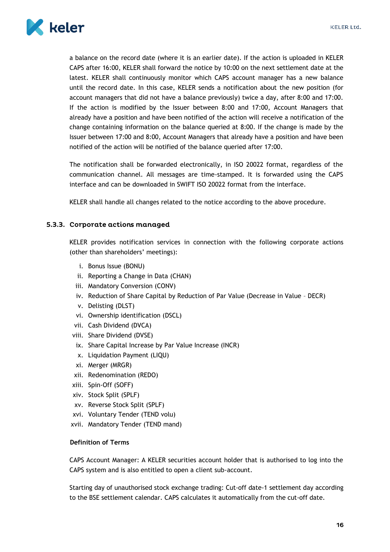

a balance on the record date (where it is an earlier date). If the action is uploaded in KELER CAPS after 16:00, KELER shall forward the notice by 10:00 on the next settlement date at the latest. KELER shall continuously monitor which CAPS account manager has a new balance until the record date. In this case, KELER sends a notification about the new position (for account managers that did not have a balance previously) twice a day, after 8:00 and 17:00. If the action is modified by the Issuer between 8:00 and 17:00, Account Managers that already have a position and have been notified of the action will receive a notification of the change containing information on the balance queried at 8:00. If the change is made by the Issuer between 17:00 and 8:00, Account Managers that already have a position and have been notified of the action will be notified of the balance queried after 17:00.

The notification shall be forwarded electronically, in ISO 20022 format, regardless of the communication channel. All messages are time-stamped. It is forwarded using the CAPS interface and can be downloaded in SWIFT ISO 20022 format from the interface.

KELER shall handle all changes related to the notice according to the above procedure.

#### <span id="page-16-0"></span>5.3.3. Corporate actions managed

KELER provides notification services in connection with the following corporate actions (other than shareholders' meetings):

- i. Bonus Issue (BONU)
- ii. Reporting a Change in Data (CHAN)
- iii. Mandatory Conversion (CONV)
- iv. Reduction of Share Capital by Reduction of Par Value (Decrease in Value DECR)
- v. Delisting (DLST)
- vi. Ownership identification (DSCL)
- vii. Cash Dividend (DVCA)
- viii. Share Dividend (DVSE)
- ix. Share Capital Increase by Par Value Increase (INCR)
- x. Liquidation Payment (LIQU)
- xi. Merger (MRGR)
- xii. Redenomination (REDO)
- xiii. Spin-Off (SOFF)
- xiv. Stock Split (SPLF)
- xv. Reverse Stock Split (SPLF)
- xvi. Voluntary Tender (TEND volu)
- xvii. Mandatory Tender (TEND mand)

#### **Definition of Terms**

CAPS Account Manager: A KELER securities account holder that is authorised to log into the CAPS system and is also entitled to open a client sub-account.

Starting day of unauthorised stock exchange trading: Cut-off date-1 settlement day according to the BSE settlement calendar. CAPS calculates it automatically from the cut-off date.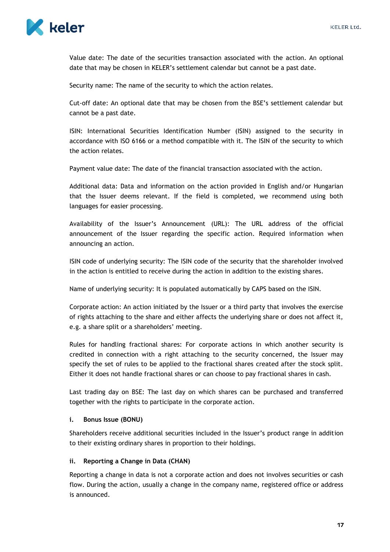

Value date: The date of the securities transaction associated with the action. An optional date that may be chosen in KELER's settlement calendar but cannot be a past date.

Security name: The name of the security to which the action relates.

Cut-off date: An optional date that may be chosen from the BSE's settlement calendar but cannot be a past date.

ISIN: International Securities Identification Number (ISIN) assigned to the security in accordance with ISO 6166 or a method compatible with it. The ISIN of the security to which the action relates.

Payment value date: The date of the financial transaction associated with the action.

Additional data: Data and information on the action provided in English and/or Hungarian that the Issuer deems relevant. If the field is completed, we recommend using both languages for easier processing.

Availability of the Issuer's Announcement (URL): The URL address of the official announcement of the Issuer regarding the specific action. Required information when announcing an action.

ISIN code of underlying security: The ISIN code of the security that the shareholder involved in the action is entitled to receive during the action in addition to the existing shares.

Name of underlying security: It is populated automatically by CAPS based on the ISIN.

Corporate action: An action initiated by the Issuer or a third party that involves the exercise of rights attaching to the share and either affects the underlying share or does not affect it, e.g. a share split or a shareholders' meeting.

Rules for handling fractional shares: For corporate actions in which another security is credited in connection with a right attaching to the security concerned, the Issuer may specify the set of rules to be applied to the fractional shares created after the stock split. Either it does not handle fractional shares or can choose to pay fractional shares in cash.

Last trading day on BSE: The last day on which shares can be purchased and transferred together with the rights to participate in the corporate action.

#### **i. Bonus Issue (BONU)**

Shareholders receive additional securities included in the Issuer's product range in addition to their existing ordinary shares in proportion to their holdings.

#### **ii. Reporting a Change in Data (CHAN)**

Reporting a change in data is not a corporate action and does not involves securities or cash flow. During the action, usually a change in the company name, registered office or address is announced.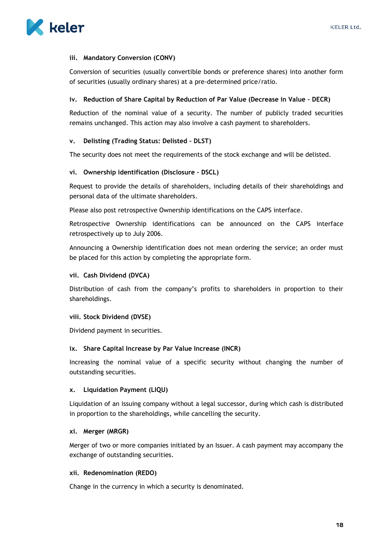

#### **iii. Mandatory Conversion (CONV)**

Conversion of securities (usually convertible bonds or preference shares) into another form of securities (usually ordinary shares) at a pre-determined price/ratio.

#### **iv. Reduction of Share Capital by Reduction of Par Value (Decrease in Value – DECR)**

Reduction of the nominal value of a security. The number of publicly traded securities remains unchanged. This action may also involve a cash payment to shareholders.

#### **v. Delisting (Trading Status: Delisted – DLST)**

The security does not meet the requirements of the stock exchange and will be delisted.

#### **vi. Ownership identification (Disclosure – DSCL)**

Request to provide the details of shareholders, including details of their shareholdings and personal data of the ultimate shareholders.

Please also post retrospective Ownership identifications on the CAPS interface.

Retrospective Ownership identifications can be announced on the CAPS interface retrospectively up to July 2006.

Announcing a Ownership identification does not mean ordering the service; an order must be placed for this action by completing the appropriate form.

#### **vii. Cash Dividend (DVCA)**

Distribution of cash from the company's profits to shareholders in proportion to their shareholdings.

#### **viii. Stock Dividend (DVSE)**

Dividend payment in securities.

#### **ix. Share Capital Increase by Par Value Increase (INCR)**

Increasing the nominal value of a specific security without changing the number of outstanding securities.

#### **x. Liquidation Payment (LIQU)**

Liquidation of an issuing company without a legal successor, during which cash is distributed in proportion to the shareholdings, while cancelling the security.

#### **xi. Merger (MRGR)**

Merger of two or more companies initiated by an Issuer. A cash payment may accompany the exchange of outstanding securities.

#### **xii. Redenomination (REDO)**

Change in the currency in which a security is denominated.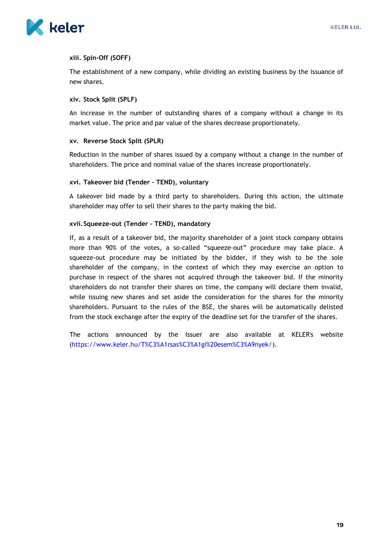



#### **xiii. Spin-Off (SOFF)**

The establishment of a new company, while dividing an existing business by the issuance of new shares.

#### **xiv. Stock Split (SPLF)**

An increase in the number of outstanding shares of a company without a change in its market value. The price and par value of the shares decrease proportionately.

#### **xv. Reverse Stock Split (SPLR)**

Reduction in the number of shares issued by a company without a change in the number of shareholders. The price and nominal value of the shares increase proportionately.

#### **xvi. Takeover bid (Tender – TEND), voluntary**

A takeover bid made by a third party to shareholders. During this action, the ultimate shareholder may offer to sell their shares to the party making the bid.

#### **xvii.Squeeze-out (Tender – TEND), mandatory**

If, as a result of a takeover bid, the majority shareholder of a joint stock company obtains more than 90% of the votes, a so-called "squeeze-out" procedure may take place. A squeeze-out procedure may be initiated by the bidder, if they wish to be the sole shareholder of the company, in the context of which they may exercise an option to purchase in respect of the shares not acquired through the takeover bid. If the minority shareholders do not transfer their shares on time, the company will declare them invalid, while issuing new shares and set aside the consideration for the shares for the minority shareholders. Pursuant to the rules of the BSE, the shares will be automatically delisted from the stock exchange after the expiry of the deadline set for the transfer of the shares.

The actions announced by the Issuer are also available at KELER's website [\(https://www.keler.hu/T%C3%A1rsas%C3%A1gi%20esem%C3%A9nyek/\)](http://www.keler.hu/társasági).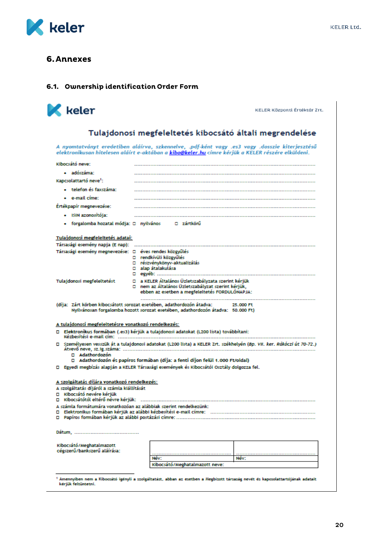

I

# <span id="page-20-0"></span>**6. Annexes**

#### <span id="page-20-1"></span>6.1. Ownership identification Order Form

| keler                                                                                                                                          |                                                                                                        | KELER Központi Értéktár Zrt.                                                                                                                                                                               |
|------------------------------------------------------------------------------------------------------------------------------------------------|--------------------------------------------------------------------------------------------------------|------------------------------------------------------------------------------------------------------------------------------------------------------------------------------------------------------------|
|                                                                                                                                                |                                                                                                        | Tulajdonosi megfeleltetés kibocsátó általi megrendelése                                                                                                                                                    |
|                                                                                                                                                |                                                                                                        | A nyomtatványt eredetiben aláírva, szkennelve, .pdf-ként vagy .es3 vagy .dosszie kiterjesztésű<br>elektronikusan hitelesen aláírt e-aktában a <b>kibo@keler.hu</b> címre kérjük a KELER részére elküldeni. |
| Kibocsátó neve:                                                                                                                                |                                                                                                        |                                                                                                                                                                                                            |
| · adószáma:                                                                                                                                    |                                                                                                        |                                                                                                                                                                                                            |
| Kapcsolattartó neve <sup>1</sup> :                                                                                                             |                                                                                                        |                                                                                                                                                                                                            |
| • telefon és faxszáma:                                                                                                                         |                                                                                                        |                                                                                                                                                                                                            |
| • e-mail cime:                                                                                                                                 |                                                                                                        |                                                                                                                                                                                                            |
| Ertékpapír megnevezése:                                                                                                                        |                                                                                                        |                                                                                                                                                                                                            |
| • ISIN azonosítója:                                                                                                                            |                                                                                                        |                                                                                                                                                                                                            |
|                                                                                                                                                | forgalomba hozatal módja: □ nyilvános   □ zártkörű                                                     |                                                                                                                                                                                                            |
| Tulajdonosi megfeleltetés adatai:                                                                                                              |                                                                                                        |                                                                                                                                                                                                            |
| Társasági esemény napja (E nap):<br>Társasági esemény megnevezése: □ éves rendes közgyűlés                                                     |                                                                                                        |                                                                                                                                                                                                            |
|                                                                                                                                                | □ rendkívüli közgyűlés                                                                                 |                                                                                                                                                                                                            |
|                                                                                                                                                | □ részvénykönyv-aktualizálás<br>$\square$ alap átalakulása                                             |                                                                                                                                                                                                            |
|                                                                                                                                                |                                                                                                        |                                                                                                                                                                                                            |
| Tulajdonosi megfeleltetést                                                                                                                     | □ a KELER Általános Üzletszabályzata szerint kérjük                                                    |                                                                                                                                                                                                            |
|                                                                                                                                                | □ _ nem az Általános Üzletszabályzat szerint kérjük,<br>ebben az esetben a megfeleltetés FORDULÓNAPJA: |                                                                                                                                                                                                            |
| A tulajdonosi megfeleltetésre vonatkozó rendelkezés:<br>□ Elektronikus formában (.es3) kérjük a tulajdonosi adatokat (L200 lista) továbbítani: | Nyilvánosan forgalomba hozott sorozat esetében, adathordozón átadva:   50.000 Ft)                      |                                                                                                                                                                                                            |
|                                                                                                                                                |                                                                                                        |                                                                                                                                                                                                            |
| □ Adathordozón                                                                                                                                 | □ Adathordozón és papíros formában (díja: a fenti díjon felül 1.000 Ft/oldal)                          | □ Személyesen vesszük át a tulajdonosi adatokat (L200 lista) a KELER Zrt. székhelyén (Bp. VII. ker. Rákóczi út 70-72.)                                                                                     |
| □ Egyedi megbízás alapján a KELER Társasági események és Kibocsátói Osztály dolgozza fel.                                                      |                                                                                                        |                                                                                                                                                                                                            |
| A szolgáltatás díjára vonatkozó rendelkezés:<br>A szolgáltatás díjáról a számla kiállítását<br>□ Kibocsátó nevére kériük                       |                                                                                                        |                                                                                                                                                                                                            |
| A számla formátumára vonatkozóan az alábbiak szerint rendelkezünk:                                                                             |                                                                                                        |                                                                                                                                                                                                            |
| о<br>о                                                                                                                                         |                                                                                                        |                                                                                                                                                                                                            |
|                                                                                                                                                |                                                                                                        |                                                                                                                                                                                                            |
|                                                                                                                                                |                                                                                                        |                                                                                                                                                                                                            |
|                                                                                                                                                |                                                                                                        |                                                                                                                                                                                                            |
| Kibocsátó/Meghatalmazott<br>cégszerű/bankszerű aláírása:                                                                                       |                                                                                                        |                                                                                                                                                                                                            |
|                                                                                                                                                | Név:<br>Kibocsátó/Meghatalmazott neve:                                                                 | Név:                                                                                                                                                                                                       |

20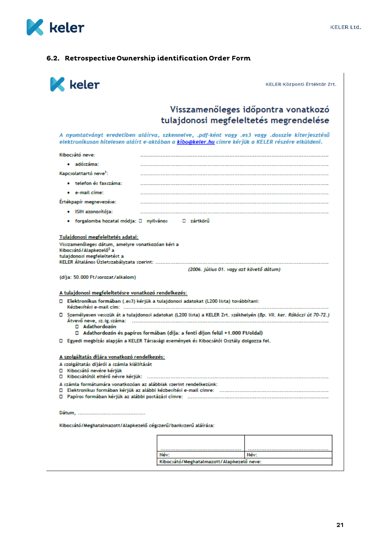

# <span id="page-21-0"></span>6.2. Retrospective Ownership identification Order Form

| keler                              |                                                                                             |                                                                                           | KELER Központi Értéktár Zrt.                                                                                                                                                                        |
|------------------------------------|---------------------------------------------------------------------------------------------|-------------------------------------------------------------------------------------------|-----------------------------------------------------------------------------------------------------------------------------------------------------------------------------------------------------|
|                                    |                                                                                             |                                                                                           | Visszamenőleges időpontra vonatkozó<br>tulajdonosi megfeleltetés megrendelése                                                                                                                       |
|                                    |                                                                                             |                                                                                           | A nyomtatványt eredetiben aláírva, szkennelve, .pdf-ként vagy .es3 vagy .dosszie kiterjesztésű<br>elektronikusan hitelesen aláírt e-aktában a kibo@keler.hu címre kérjük a KELER részére elküldeni. |
| Kibocsátó neve:                    |                                                                                             |                                                                                           |                                                                                                                                                                                                     |
| $\bullet$ adószáma:                |                                                                                             |                                                                                           |                                                                                                                                                                                                     |
| Kapcsolattartó neve <sup>1</sup> : |                                                                                             |                                                                                           |                                                                                                                                                                                                     |
| • telefon és faxszáma:             |                                                                                             |                                                                                           |                                                                                                                                                                                                     |
| • e-mail címe:                     |                                                                                             |                                                                                           |                                                                                                                                                                                                     |
| Ertékpapír megnevezése:            |                                                                                             |                                                                                           |                                                                                                                                                                                                     |
| • ISIN azonosítója:                |                                                                                             |                                                                                           |                                                                                                                                                                                                     |
|                                    |                                                                                             | forgalomba hozatal módja: □ nyilvános   □ zártkörű                                        |                                                                                                                                                                                                     |
|                                    | (díja: 50.000 Ft/sorozat/alkalom)<br>A tulajdonosi megfeleltetésre vonatkozó rendelkezés:   | □ Elektronikus formában (.es3) kérjük a tulajdonosi adatokat (L200 lista) továbbítani:    |                                                                                                                                                                                                     |
| □ Adathordozón                     |                                                                                             |                                                                                           | □ Személyesen vesszük át a tulajdonosi adatokat (L200 lista) a KELER Zrt. székhelyén (Bp. VII. ker. Rákóczi út 70-72.)                                                                              |
|                                    |                                                                                             | □ Adathordozón és papíros formában (díja: a fenti díjon felül +1.000 Ft/oldal)            |                                                                                                                                                                                                     |
|                                    |                                                                                             | □ Egyedi megbízás alapján a KELER Társasági események és Kibocsátói Osztály dolgozza fel. |                                                                                                                                                                                                     |
| □ Kibocsátó nevére kérjük          | A szolgáltatás díjára vonatkozó rendelkezés:<br>A szolgáltatás díjáról a számla kiállítását |                                                                                           |                                                                                                                                                                                                     |
| о                                  |                                                                                             | A számla formátumára vonatkozóan az alábbiak szerint rendelkezünk:                        |                                                                                                                                                                                                     |
|                                    |                                                                                             |                                                                                           |                                                                                                                                                                                                     |
|                                    |                                                                                             |                                                                                           |                                                                                                                                                                                                     |
|                                    | Kibocsátó/Meghatalmazott/Alapkezelő cégszerű/bankszerű aláírása:                            |                                                                                           |                                                                                                                                                                                                     |
|                                    |                                                                                             |                                                                                           |                                                                                                                                                                                                     |
|                                    |                                                                                             | Név:                                                                                      | Név:                                                                                                                                                                                                |